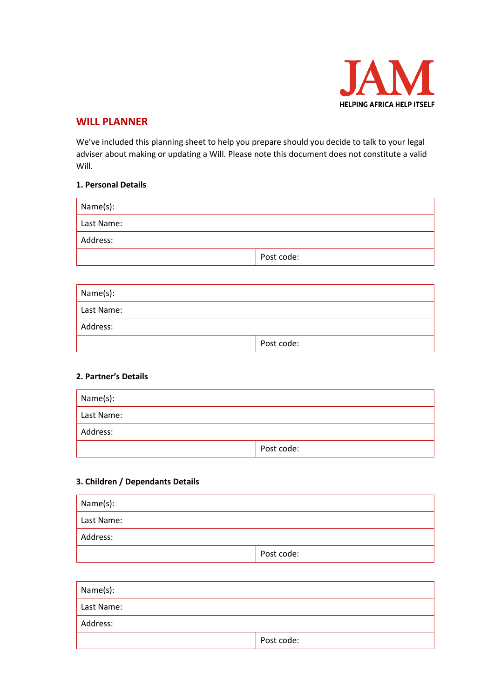

## **WILL PLANNER**

We've included this planning sheet to help you prepare should you decide to talk to your legal adviser about making or updating a Will. Please note this document does not constitute a valid Will.

#### **1. Personal Details**

| Name(s):   |            |  |
|------------|------------|--|
| Last Name: |            |  |
| Address:   |            |  |
|            | Post code: |  |

| Name(s):   |            |  |
|------------|------------|--|
| Last Name: |            |  |
| Address:   |            |  |
|            | Post code: |  |

## **2. Partner's Details**

| Name(s):   |            |  |
|------------|------------|--|
| Last Name: |            |  |
| Address:   |            |  |
|            | Post code: |  |

## **3. Children / Dependants Details**

| Name(s):   |            |
|------------|------------|
| Last Name: |            |
| Address:   |            |
|            | Post code: |

| Name(s):   |            |
|------------|------------|
| Last Name: |            |
| Address:   |            |
|            | Post code: |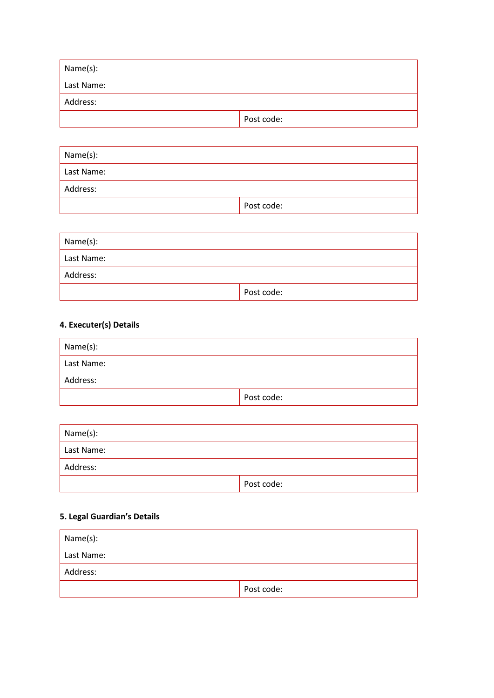| Name(s):   |            |  |
|------------|------------|--|
| Last Name: |            |  |
| Address:   |            |  |
|            | Post code: |  |

| Name(s):   |            |
|------------|------------|
| Last Name: |            |
| Address:   |            |
|            | Post code: |

| Name(s):   |            |  |
|------------|------------|--|
| Last Name: |            |  |
| Address:   |            |  |
|            | Post code: |  |

# **4. Executer(s) Details**

| Name(s):   |            |  |
|------------|------------|--|
| Last Name: |            |  |
| Address:   |            |  |
|            | Post code: |  |

| Name(s):   |            |  |
|------------|------------|--|
| Last Name: |            |  |
| Address:   |            |  |
|            | Post code: |  |

# **5. Legal Guardian's Details**

| Name(s):   |            |  |
|------------|------------|--|
| Last Name: |            |  |
| Address:   |            |  |
|            | Post code: |  |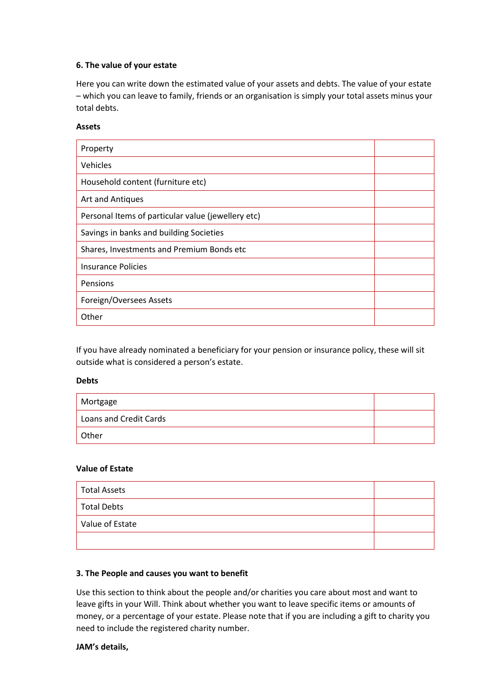#### **6. The value of your estate**

Here you can write down the estimated value of your assets and debts. The value of your estate – which you can leave to family, friends or an organisation is simply your total assets minus your total debts.

#### **Assets**

| Property                                           |  |
|----------------------------------------------------|--|
| Vehicles                                           |  |
| Household content (furniture etc)                  |  |
| Art and Antiques                                   |  |
| Personal Items of particular value (jewellery etc) |  |
| Savings in banks and building Societies            |  |
| Shares, Investments and Premium Bonds etc          |  |
| <b>Insurance Policies</b>                          |  |
| Pensions                                           |  |
| Foreign/Oversees Assets                            |  |
| Other                                              |  |

If you have already nominated a beneficiary for your pension or insurance policy, these will sit outside what is considered a person's estate.

#### **Debts**

| Mortgage               |  |
|------------------------|--|
| Loans and Credit Cards |  |
| Other                  |  |

#### **Value of Estate**

| <b>Total Assets</b> |  |
|---------------------|--|
| <b>Total Debts</b>  |  |
| Value of Estate     |  |
|                     |  |

#### **3. The People and causes you want to benefit**

Use this section to think about the people and/or charities you care about most and want to leave gifts in your Will. Think about whether you want to leave specific items or amounts of money, or a percentage of your estate. Please note that if you are including a gift to charity you need to include the registered charity number.

#### **JAM's details,**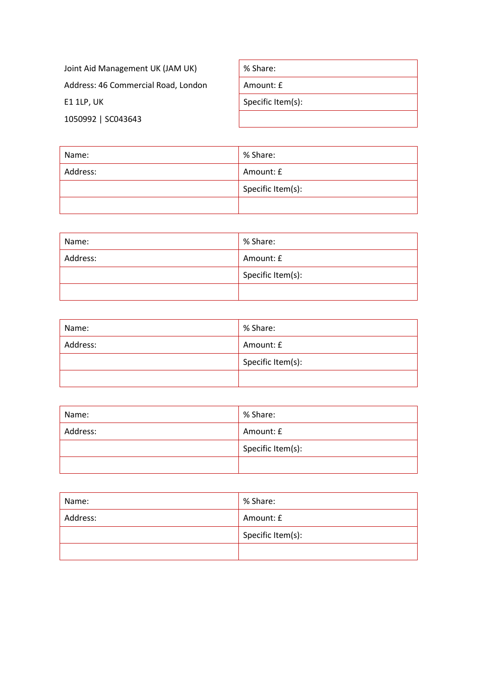| Joint Aid Management UK (JAM UK)    | % Share:          |
|-------------------------------------|-------------------|
| Address: 46 Commercial Road, London | Amount: £         |
| E1 1LP, UK                          | Specific Item(s): |
| 1050992 SC043643                    |                   |

| Name:    | % Share:          |
|----------|-------------------|
| Address: | Amount: £         |
|          | Specific Item(s): |
|          |                   |

| Name:    | % Share:          |
|----------|-------------------|
| Address: | Amount: £         |
|          | Specific Item(s): |
|          |                   |

| Name:    | % Share:          |
|----------|-------------------|
| Address: | Amount: £         |
|          | Specific Item(s): |
|          |                   |

| Name:    | % Share:          |
|----------|-------------------|
| Address: | Amount: £         |
|          | Specific Item(s): |
|          |                   |

| Name:    | % Share:          |
|----------|-------------------|
| Address: | Amount: £         |
|          | Specific Item(s): |
|          |                   |